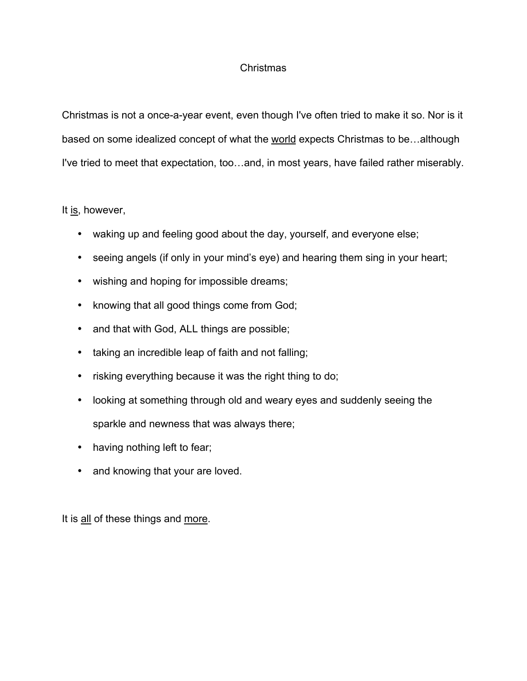## Christmas

Christmas is not a once-a-year event, even though I've often tried to make it so. Nor is it based on some idealized concept of what the world expects Christmas to be…although I've tried to meet that expectation, too…and, in most years, have failed rather miserably.

## It is, however,

- waking up and feeling good about the day, yourself, and everyone else;
- seeing angels (if only in your mind's eye) and hearing them sing in your heart;
- wishing and hoping for impossible dreams;
- knowing that all good things come from God;
- and that with God, ALL things are possible;
- taking an incredible leap of faith and not falling;
- risking everything because it was the right thing to do;
- looking at something through old and weary eyes and suddenly seeing the sparkle and newness that was always there;
- having nothing left to fear;
- and knowing that your are loved.

It is all of these things and more.